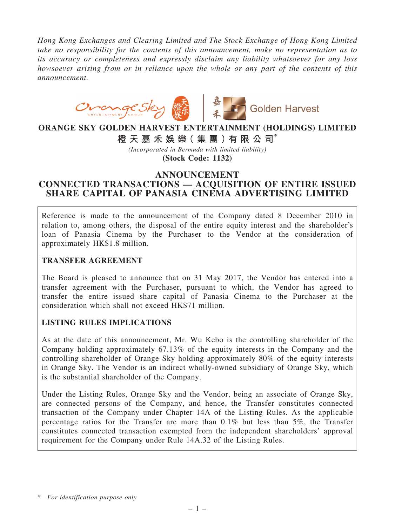*Hong Kong Exchanges and Clearing Limited and The Stock Exchange of Hong Kong Limited take no responsibility for the contents of this announcement, make no representation as to its accuracy or completeness and expressly disclaim any liability whatsoever for any loss howsoever arising from or in reliance upon the whole or any part of the contents of this announcement.*



# ORANGE SKY GOLDEN HARVEST ENTERTAINMENT (HOLDINGS) LIMITED

橙 天 嘉 禾 娛 樂( 集 團 )有 限 公 司\*

*(Incorporated in Bermuda with limited liability)* (Stock Code: 1132)

# ANNOUNCEMENT

# CONNECTED TRANSACTIONS — ACQUISITION OF ENTIRE ISSUED SHARE CAPITAL OF PANASIA CINEMA ADVERTISING LIMITED

Reference is made to the announcement of the Company dated 8 December 2010 in relation to, among others, the disposal of the entire equity interest and the shareholder's loan of Panasia Cinema by the Purchaser to the Vendor at the consideration of approximately HK\$1.8 million.

# TRANSFER AGREEMENT

The Board is pleased to announce that on 31 May 2017, the Vendor has entered into a transfer agreement with the Purchaser, pursuant to which, the Vendor has agreed to transfer the entire issued share capital of Panasia Cinema to the Purchaser at the consideration which shall not exceed HK\$71 million.

# LISTING RULES IMPLICATIONS

As at the date of this announcement, Mr. Wu Kebo is the controlling shareholder of the Company holding approximately 67.13% of the equity interests in the Company and the controlling shareholder of Orange Sky holding approximately 80% of the equity interests in Orange Sky. The Vendor is an indirect wholly-owned subsidiary of Orange Sky, which is the substantial shareholder of the Company.

Under the Listing Rules, Orange Sky and the Vendor, being an associate of Orange Sky, are connected persons of the Company, and hence, the Transfer constitutes connected transaction of the Company under Chapter 14A of the Listing Rules. As the applicable percentage ratios for the Transfer are more than 0.1% but less than 5%, the Transfer constitutes connected transaction exempted from the independent shareholders' approval requirement for the Company under Rule 14A.32 of the Listing Rules.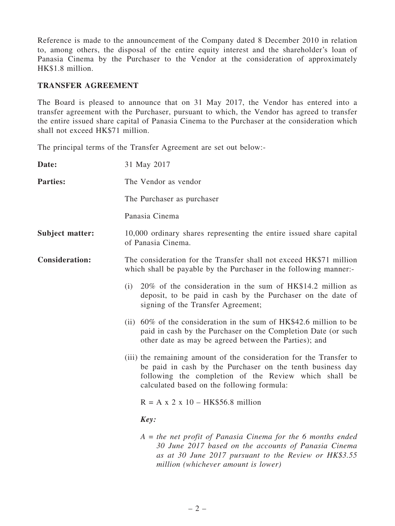Reference is made to the announcement of the Company dated 8 December 2010 in relation to, among others, the disposal of the entire equity interest and the shareholder's loan of Panasia Cinema by the Purchaser to the Vendor at the consideration of approximately HK\$1.8 million.

#### TRANSFER AGREEMENT

The Board is pleased to announce that on 31 May 2017, the Vendor has entered into a transfer agreement with the Purchaser, pursuant to which, the Vendor has agreed to transfer the entire issued share capital of Panasia Cinema to the Purchaser at the consideration which shall not exceed HK\$71 million.

The principal terms of the Transfer Agreement are set out below:-

| Date:                  | 31 May 2017                                                                                                                                                                                                                              |  |
|------------------------|------------------------------------------------------------------------------------------------------------------------------------------------------------------------------------------------------------------------------------------|--|
| <b>Parties:</b>        | The Vendor as vendor                                                                                                                                                                                                                     |  |
|                        | The Purchaser as purchaser                                                                                                                                                                                                               |  |
|                        | Panasia Cinema                                                                                                                                                                                                                           |  |
| <b>Subject matter:</b> | 10,000 ordinary shares representing the entire issued share capital<br>of Panasia Cinema.                                                                                                                                                |  |
| <b>Consideration:</b>  | The consideration for the Transfer shall not exceed HK\$71 million<br>which shall be payable by the Purchaser in the following manner:-                                                                                                  |  |
|                        | 20% of the consideration in the sum of HK\$14.2 million as<br>(i)<br>deposit, to be paid in cash by the Purchaser on the date of<br>signing of the Transfer Agreement;                                                                   |  |
|                        | (ii) $60\%$ of the consideration in the sum of HK\$42.6 million to be<br>paid in cash by the Purchaser on the Completion Date (or such<br>other date as may be agreed between the Parties); and                                          |  |
|                        | (iii) the remaining amount of the consideration for the Transfer to<br>be paid in cash by the Purchaser on the tenth business day<br>following the completion of the Review which shall be<br>calculated based on the following formula: |  |
|                        | $R = A x 2 x 10 - HK$56.8 million$                                                                                                                                                                                                       |  |
|                        | Key:                                                                                                                                                                                                                                     |  |
|                        | $A =$ the net profit of Panasia Cinema for the 6 months ended<br>30 June 2017 based on the accounts of Panasia Cinema<br>as at 30 June 2017 pursuant to the Review or HK\$3.55<br>million (whichever amount is lower)                    |  |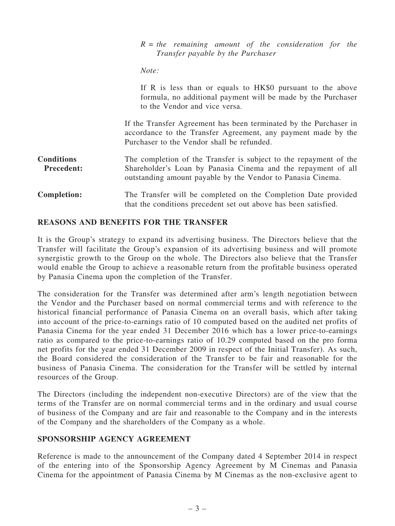#### *R = the remaining amount of the consideration for the Transfer payable by the Purchaser*

*Note:*

If R is less than or equals to HK\$0 pursuant to the above formula, no additional payment will be made by the Purchaser to the Vendor and vice versa.

If the Transfer Agreement has been terminated by the Purchaser in accordance to the Transfer Agreement, any payment made by the Purchaser to the Vendor shall be refunded.

- **Conditions** Precedent: The completion of the Transfer is subject to the repayment of the Shareholder's Loan by Panasia Cinema and the repayment of all outstanding amount payable by the Vendor to Panasia Cinema.
- Completion: The Transfer will be completed on the Completion Date provided that the conditions precedent set out above has been satisfied.

### REASONS AND BENEFITS FOR THE TRANSFER

It is the Group's strategy to expand its advertising business. The Directors believe that the Transfer will facilitate the Group's expansion of its advertising business and will promote synergistic growth to the Group on the whole. The Directors also believe that the Transfer would enable the Group to achieve a reasonable return from the profitable business operated by Panasia Cinema upon the completion of the Transfer.

The consideration for the Transfer was determined after arm's length negotiation between the Vendor and the Purchaser based on normal commercial terms and with reference to the historical financial performance of Panasia Cinema on an overall basis, which after taking into account of the price-to-earnings ratio of 10 computed based on the audited net profits of Panasia Cinema for the year ended 31 December 2016 which has a lower price-to-earnings ratio as compared to the price-to-earnings ratio of 10.29 computed based on the pro forma net profits for the year ended 31 December 2009 in respect of the Initial Transfer). As such, the Board considered the consideration of the Transfer to be fair and reasonable for the business of Panasia Cinema. The consideration for the Transfer will be settled by internal resources of the Group.

The Directors (including the independent non-executive Directors) are of the view that the terms of the Transfer are on normal commercial terms and in the ordinary and usual course of business of the Company and are fair and reasonable to the Company and in the interests of the Company and the shareholders of the Company as a whole.

#### SPONSORSHIP AGENCY AGREEMENT

Reference is made to the announcement of the Company dated 4 September 2014 in respect of the entering into of the Sponsorship Agency Agreement by M Cinemas and Panasia Cinema for the appointment of Panasia Cinema by M Cinemas as the non-exclusive agent to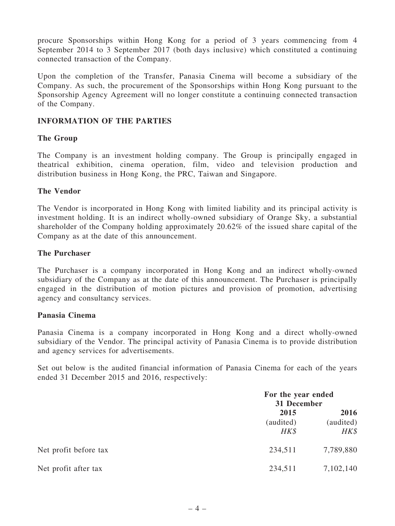procure Sponsorships within Hong Kong for a period of 3 years commencing from 4 September 2014 to 3 September 2017 (both days inclusive) which constituted a continuing connected transaction of the Company.

Upon the completion of the Transfer, Panasia Cinema will become a subsidiary of the Company. As such, the procurement of the Sponsorships within Hong Kong pursuant to the Sponsorship Agency Agreement will no longer constitute a continuing connected transaction of the Company.

# INFORMATION OF THE PARTIES

# The Group

The Company is an investment holding company. The Group is principally engaged in theatrical exhibition, cinema operation, film, video and television production and distribution business in Hong Kong, the PRC, Taiwan and Singapore.

### The Vendor

The Vendor is incorporated in Hong Kong with limited liability and its principal activity is investment holding. It is an indirect wholly-owned subsidiary of Orange Sky, a substantial shareholder of the Company holding approximately 20.62% of the issued share capital of the Company as at the date of this announcement.

### The Purchaser

The Purchaser is a company incorporated in Hong Kong and an indirect wholly-owned subsidiary of the Company as at the date of this announcement. The Purchaser is principally engaged in the distribution of motion pictures and provision of promotion, advertising agency and consultancy services.

#### Panasia Cinema

Panasia Cinema is a company incorporated in Hong Kong and a direct wholly-owned subsidiary of the Vendor. The principal activity of Panasia Cinema is to provide distribution and agency services for advertisements.

Set out below is the audited financial information of Panasia Cinema for each of the years ended 31 December 2015 and 2016, respectively:

|                       |                           | For the year ended<br>31 December |  |
|-----------------------|---------------------------|-----------------------------------|--|
|                       | 2015<br>(audited)<br>HK\$ | 2016<br>(audited)<br>HK\$         |  |
| Net profit before tax | 234,511                   | 7,789,880                         |  |
| Net profit after tax  | 234,511                   | 7,102,140                         |  |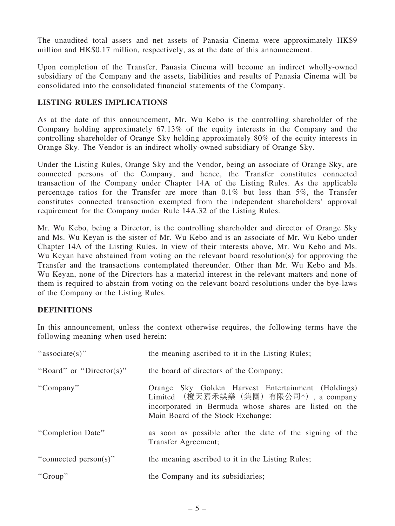The unaudited total assets and net assets of Panasia Cinema were approximately HK\$9 million and HK\$0.17 million, respectively, as at the date of this announcement.

Upon completion of the Transfer, Panasia Cinema will become an indirect wholly-owned subsidiary of the Company and the assets, liabilities and results of Panasia Cinema will be consolidated into the consolidated financial statements of the Company.

# LISTING RULES IMPLICATIONS

As at the date of this announcement, Mr. Wu Kebo is the controlling shareholder of the Company holding approximately 67.13% of the equity interests in the Company and the controlling shareholder of Orange Sky holding approximately 80% of the equity interests in Orange Sky. The Vendor is an indirect wholly-owned subsidiary of Orange Sky.

Under the Listing Rules, Orange Sky and the Vendor, being an associate of Orange Sky, are connected persons of the Company, and hence, the Transfer constitutes connected transaction of the Company under Chapter 14A of the Listing Rules. As the applicable percentage ratios for the Transfer are more than 0.1% but less than 5%, the Transfer constitutes connected transaction exempted from the independent shareholders' approval requirement for the Company under Rule 14A.32 of the Listing Rules.

Mr. Wu Kebo, being a Director, is the controlling shareholder and director of Orange Sky and Ms. Wu Keyan is the sister of Mr. Wu Kebo and is an associate of Mr. Wu Kebo under Chapter 14A of the Listing Rules. In view of their interests above, Mr. Wu Kebo and Ms. Wu Keyan have abstained from voting on the relevant board resolution(s) for approving the Transfer and the transactions contemplated thereunder. Other than Mr. Wu Kebo and Ms. Wu Keyan, none of the Directors has a material interest in the relevant matters and none of them is required to abstain from voting on the relevant board resolutions under the bye-laws of the Company or the Listing Rules.

# DEFINITIONS

In this announcement, unless the context otherwise requires, the following terms have the following meaning when used herein:

| "associate(s)"           | the meaning ascribed to it in the Listing Rules;                                                                                                                                          |
|--------------------------|-------------------------------------------------------------------------------------------------------------------------------------------------------------------------------------------|
| "Board" or "Director(s)" | the board of directors of the Company;                                                                                                                                                    |
| "Company"                | Orange Sky Golden Harvest Entertainment (Holdings)<br>Limited (橙天嘉禾娛樂(集團)有限公司*), a company<br>incorporated in Bermuda whose shares are listed on the<br>Main Board of the Stock Exchange; |
| "Completion Date"        | as soon as possible after the date of the signing of the<br>Transfer Agreement;                                                                                                           |
| "connected person(s)"    | the meaning ascribed to it in the Listing Rules;                                                                                                                                          |
| "Group"                  | the Company and its subsidiaries;                                                                                                                                                         |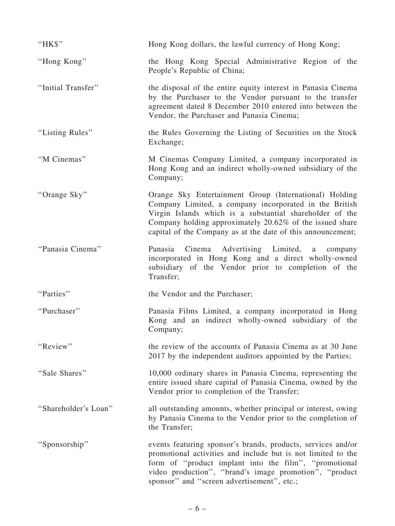| "HK\$"               | Hong Kong dollars, the lawful currency of Hong Kong;                                                                                                                                                                                                                                                    |
|----------------------|---------------------------------------------------------------------------------------------------------------------------------------------------------------------------------------------------------------------------------------------------------------------------------------------------------|
| "Hong Kong"          | the Hong Kong Special Administrative Region of the<br>People's Republic of China;                                                                                                                                                                                                                       |
| "Initial Transfer"   | the disposal of the entire equity interest in Panasia Cinema<br>by the Purchaser to the Vendor pursuant to the transfer<br>agreement dated 8 December 2010 entered into between the<br>Vendor, the Purchaser and Panasia Cinema;                                                                        |
| "Listing Rules"      | the Rules Governing the Listing of Securities on the Stock<br>Exchange;                                                                                                                                                                                                                                 |
| "M Cinemas"          | M Cinemas Company Limited, a company incorporated in<br>Hong Kong and an indirect wholly-owned subsidiary of the<br>Company;                                                                                                                                                                            |
| "Orange Sky"         | Orange Sky Entertainment Group (International) Holding<br>Company Limited, a company incorporated in the British<br>Virgin Islands which is a substantial shareholder of the<br>Company holding approximately 20.62% of the issued share<br>capital of the Company as at the date of this announcement; |
| "Panasia Cinema"     | Cinema<br>Advertising Limited,<br>Panasia<br>a<br>company<br>incorporated in Hong Kong and a direct wholly-owned<br>subsidiary of the Vendor prior to completion of the<br>Transfer;                                                                                                                    |
| "Parties"            | the Vendor and the Purchaser;                                                                                                                                                                                                                                                                           |
| "Purchaser"          | Panasia Films Limited, a company incorporated in Hong<br>Kong and an indirect wholly-owned subsidiary of the<br>Company;                                                                                                                                                                                |
| "Review"             | the review of the accounts of Panasia Cinema as at 30 June<br>2017 by the independent auditors appointed by the Parties;                                                                                                                                                                                |
| "Sale Shares"        | 10,000 ordinary shares in Panasia Cinema, representing the<br>entire issued share capital of Panasia Cinema, owned by the<br>Vendor prior to completion of the Transfer;                                                                                                                                |
| "Shareholder's Loan" | all outstanding amounts, whether principal or interest, owing<br>by Panasia Cinema to the Vendor prior to the completion of<br>the Transfer;                                                                                                                                                            |
| "Sponsorship"        | events featuring sponsor's brands, products, services and/or<br>promotional activities and include but is not limited to the<br>form of "product implant into the film", "promotional<br>video production", "brand's image promotion", "product<br>sponsor" and "screen advertisement", etc.;           |